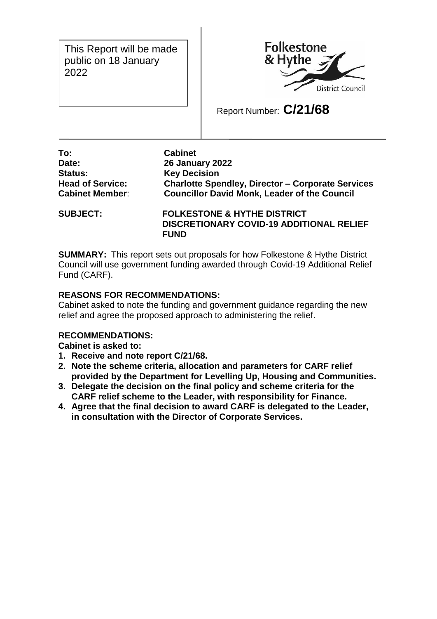This Report will be made public on 18 January 2022



Report Number: **C/21/68**

**To: Cabinet Date: 26 January 2022 Status: Key Decision**

**Head of Service: Charlotte Spendley, Director – Corporate Services Cabinet Member**: **Councillor David Monk, Leader of the Council**

**SUBJECT: FOLKESTONE & HYTHE DISTRICT DISCRETIONARY COVID-19 ADDITIONAL RELIEF FUND**

**SUMMARY:** This report sets out proposals for how Folkestone & Hythe District Council will use government funding awarded through Covid-19 Additional Relief Fund (CARF).

# **REASONS FOR RECOMMENDATIONS:**

Cabinet asked to note the funding and government guidance regarding the new relief and agree the proposed approach to administering the relief.

## **RECOMMENDATIONS:**

**Cabinet is asked to:**

- **1. Receive and note report C/21/68.**
- **2. Note the scheme criteria, allocation and parameters for CARF relief provided by the Department for Levelling Up, Housing and Communities.**
- **3. Delegate the decision on the final policy and scheme criteria for the CARF relief scheme to the Leader, with responsibility for Finance.**
- **4. Agree that the final decision to award CARF is delegated to the Leader, in consultation with the Director of Corporate Services.**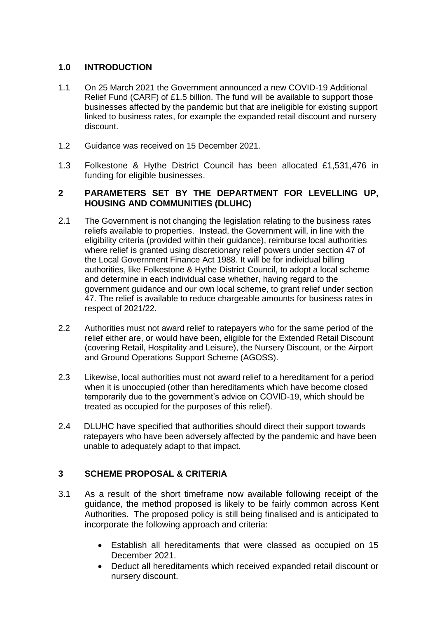## **1.0 INTRODUCTION**

- 1.1 On 25 March 2021 the Government announced a new COVID-19 Additional Relief Fund (CARF) of £1.5 billion. The fund will be available to support those businesses affected by the pandemic but that are ineligible for existing support linked to business rates, for example the expanded retail discount and nursery discount.
- 1.2 Guidance was received on 15 December 2021.
- 1.3 Folkestone & Hythe District Council has been allocated £1,531,476 in funding for eligible businesses.

### **2 PARAMETERS SET BY THE DEPARTMENT FOR LEVELLING UP, HOUSING AND COMMUNITIES (DLUHC)**

- 2.1 The Government is not changing the legislation relating to the business rates reliefs available to properties. Instead, the Government will, in line with the eligibility criteria (provided within their guidance), reimburse local authorities where relief is granted using discretionary relief powers under section 47 of the Local Government Finance Act 1988. It will be for individual billing authorities, like Folkestone & Hythe District Council, to adopt a local scheme and determine in each individual case whether, having regard to the government guidance and our own local scheme, to grant relief under section 47. The relief is available to reduce chargeable amounts for business rates in respect of 2021/22.
- 2.2 Authorities must not award relief to ratepayers who for the same period of the relief either are, or would have been, eligible for the Extended Retail Discount (covering Retail, Hospitality and Leisure), the Nursery Discount, or the Airport and Ground Operations Support Scheme (AGOSS).
- 2.3 Likewise, local authorities must not award relief to a hereditament for a period when it is unoccupied (other than hereditaments which have become closed temporarily due to the government's advice on COVID-19, which should be treated as occupied for the purposes of this relief).
- 2.4 DLUHC have specified that authorities should direct their support towards ratepayers who have been adversely affected by the pandemic and have been unable to adequately adapt to that impact.

## **3 SCHEME PROPOSAL & CRITERIA**

- 3.1 As a result of the short timeframe now available following receipt of the guidance, the method proposed is likely to be fairly common across Kent Authorities. The proposed policy is still being finalised and is anticipated to incorporate the following approach and criteria:
	- Establish all hereditaments that were classed as occupied on 15 December 2021.
	- Deduct all hereditaments which received expanded retail discount or nursery discount.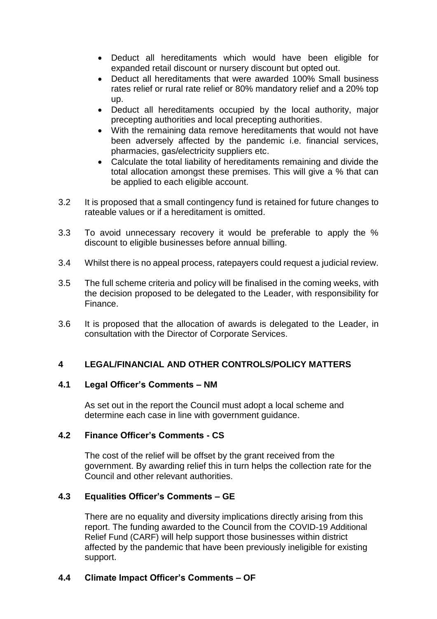- Deduct all hereditaments which would have been eligible for expanded retail discount or nursery discount but opted out.
- Deduct all hereditaments that were awarded 100% Small business rates relief or rural rate relief or 80% mandatory relief and a 20% top up.
- Deduct all hereditaments occupied by the local authority, major precepting authorities and local precepting authorities.
- With the remaining data remove hereditaments that would not have been adversely affected by the pandemic i.e. financial services, pharmacies, gas/electricity suppliers etc.
- Calculate the total liability of hereditaments remaining and divide the total allocation amongst these premises. This will give a % that can be applied to each eligible account.
- 3.2 It is proposed that a small contingency fund is retained for future changes to rateable values or if a hereditament is omitted.
- 3.3 To avoid unnecessary recovery it would be preferable to apply the % discount to eligible businesses before annual billing.
- 3.4 Whilst there is no appeal process, ratepayers could request a judicial review.
- 3.5 The full scheme criteria and policy will be finalised in the coming weeks, with the decision proposed to be delegated to the Leader, with responsibility for Finance.
- 3.6 It is proposed that the allocation of awards is delegated to the Leader, in consultation with the Director of Corporate Services.

## **4 LEGAL/FINANCIAL AND OTHER CONTROLS/POLICY MATTERS**

#### **4.1 Legal Officer's Comments – NM**

As set out in the report the Council must adopt a local scheme and determine each case in line with government guidance.

#### **4.2 Finance Officer's Comments - CS**

The cost of the relief will be offset by the grant received from the government. By awarding relief this in turn helps the collection rate for the Council and other relevant authorities.

## **4.3 Equalities Officer's Comments – GE**

There are no equality and diversity implications directly arising from this report. The funding awarded to the Council from the COVID-19 Additional Relief Fund (CARF) will help support those businesses within district affected by the pandemic that have been previously ineligible for existing support.

## **4.4 Climate Impact Officer's Comments – OF**